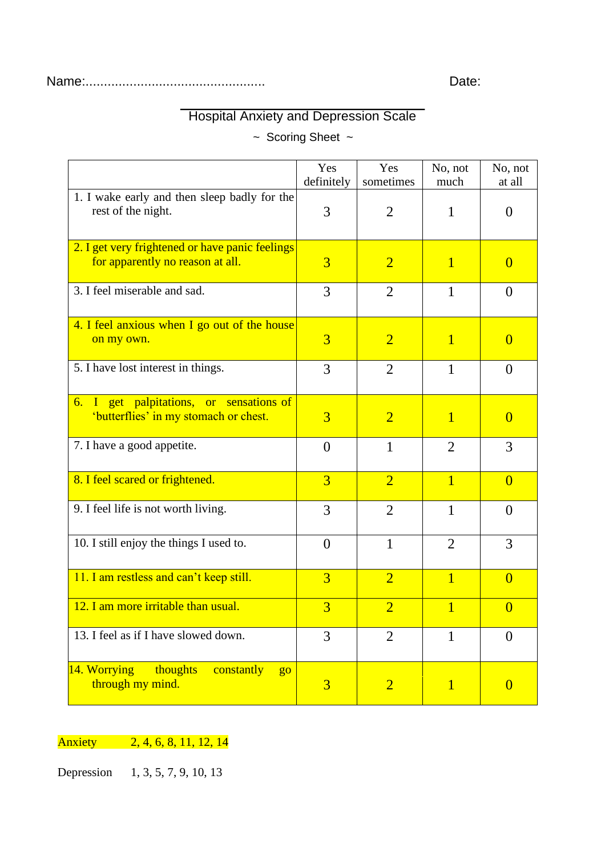## Hospital Anxiety and Depression Scale

~ Scoring Sheet ~

|                                                                                     | Yes<br>definitely | Yes<br>sometimes | No, not<br>much | No, not<br>at all |
|-------------------------------------------------------------------------------------|-------------------|------------------|-----------------|-------------------|
| 1. I wake early and then sleep badly for the<br>rest of the night.                  | 3                 | $\overline{2}$   | 1               | $\overline{0}$    |
| 2. I get very frightened or have panic feelings<br>for apparently no reason at all. | $\overline{3}$    | $\overline{2}$   | $\mathbf{1}$    | $\theta$          |
| 3. I feel miserable and sad.                                                        | 3                 | $\overline{2}$   | $\mathbf{1}$    | $\overline{0}$    |
| 4. I feel anxious when I go out of the house<br>on my own.                          | $\overline{3}$    | $\overline{2}$   | $\mathbf{1}$    | $\overline{0}$    |
| 5. I have lost interest in things.                                                  | 3                 | $\overline{2}$   | $\mathbf{1}$    | $\overline{0}$    |
| 6. I get palpitations, or sensations of<br>'butterflies' in my stomach or chest.    | $\overline{3}$    | $\overline{2}$   | $\overline{1}$  | $\overline{0}$    |
| 7. I have a good appetite.                                                          | $\theta$          | $\mathbf{1}$     | 2               | 3                 |
| 8. I feel scared or frightened.                                                     | $\overline{3}$    | $\overline{2}$   | $\overline{1}$  | $\overline{0}$    |
| 9. I feel life is not worth living.                                                 | 3                 | $\overline{2}$   | $\mathbf{1}$    | $\overline{0}$    |
| 10. I still enjoy the things I used to.                                             | $\theta$          | $\mathbf{1}$     | $\overline{2}$  | 3                 |
| 11. I am restless and can't keep still.                                             | $\overline{3}$    | $\overline{2}$   | $\overline{1}$  | $\overline{0}$    |
| 12. I am more irritable than usual.                                                 | 3                 | $\overline{2}$   | $\mathbf{1}$    | $\overline{0}$    |
| 13. I feel as if I have slowed down.                                                | 3                 | $\overline{2}$   | 1               | $\overline{0}$    |
| 14. Worrying<br>thoughts<br>constantly<br>$g_{0}$<br>through my mind.               | $\overline{3}$    | $\overline{2}$   | $\mathbf{1}$    | $\theta$          |

Anxiety 2, 4, 6, 8, 11, 12, 14

Depression 1, 3, 5, 7, 9, 10, 13